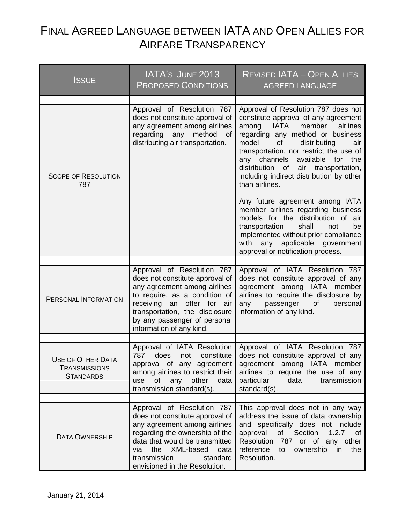## FINAL AGREED LANGUAGE BETWEEN IATA AND OPEN ALLIES FOR AIRFARE TRANSPARENCY

| Issue                                                                | IATA'S JUNE 2013<br><b>PROPOSED CONDITIONS</b>                                                                                                                                                                                   | <b>REVISED IATA - OPEN ALLIES</b><br><b>AGREED LANGUAGE</b>                                                                                                                                                                                                                                                                                                                              |
|----------------------------------------------------------------------|----------------------------------------------------------------------------------------------------------------------------------------------------------------------------------------------------------------------------------|------------------------------------------------------------------------------------------------------------------------------------------------------------------------------------------------------------------------------------------------------------------------------------------------------------------------------------------------------------------------------------------|
| <b>SCOPE OF RESOLUTION</b><br>787                                    | Approval of Resolution 787<br>does not constitute approval of<br>any agreement among airlines<br>regarding any method<br>of<br>distributing air transportation.                                                                  | Approval of Resolution 787 does not<br>constitute approval of any agreement<br>member<br><b>IATA</b><br>airlines<br>among<br>regarding any method or business<br>model<br>of<br>distributing<br>air<br>transportation, nor restrict the use of<br>any channels available for the<br>distribution<br>of air transportation,<br>including indirect distribution by other<br>than airlines. |
|                                                                      |                                                                                                                                                                                                                                  | Any future agreement among IATA<br>member airlines regarding business<br>models for the distribution of air<br>transportation<br>shall<br>not<br>be<br>implemented without prior compliance<br>with any applicable government<br>approval or notification process.                                                                                                                       |
|                                                                      | Approval of Resolution 787<br>does not constitute approval of                                                                                                                                                                    | Approval of IATA Resolution 787<br>does not constitute approval of any                                                                                                                                                                                                                                                                                                                   |
| PERSONAL INFORMATION                                                 | any agreement among airlines<br>to require, as a condition of<br>receiving an offer for air<br>transportation, the disclosure<br>by any passenger of personal<br>information of any kind.                                        | agreement among IATA member<br>airlines to require the disclosure by<br>passenger<br>of<br>personal<br>any<br>information of any kind.                                                                                                                                                                                                                                                   |
|                                                                      | Approval of IATA Resolution                                                                                                                                                                                                      | Approval of IATA Resolution 787                                                                                                                                                                                                                                                                                                                                                          |
| <b>USE OF OTHER DATA</b><br><b>TRANSMISSIONS</b><br><b>STANDARDS</b> | 787<br>does<br>constitute<br>not<br>approval of any agreement<br>among airlines to restrict their<br>of<br>any<br>other<br>data<br>use<br>transmission standard(s).                                                              | does not constitute approval of any<br>agreement among IATA member<br>airlines to require the use of any<br>particular<br>data<br>transmission<br>standard(s).                                                                                                                                                                                                                           |
|                                                                      | Approval of Resolution 787                                                                                                                                                                                                       | This approval does not in any way                                                                                                                                                                                                                                                                                                                                                        |
| <b>DATA OWNERSHIP</b>                                                | does not constitute approval of<br>any agreement among airlines<br>regarding the ownership of the<br>data that would be transmitted<br>the XML-based<br>data<br>via<br>transmission<br>standard<br>envisioned in the Resolution. | address the issue of data ownership<br>and specifically does not include<br>1.2.7<br>approval<br>of<br>Section<br>of<br><b>Resolution</b><br>787 or of any other<br>reference<br>to<br>ownership<br>in<br>the<br>Resolution.                                                                                                                                                             |